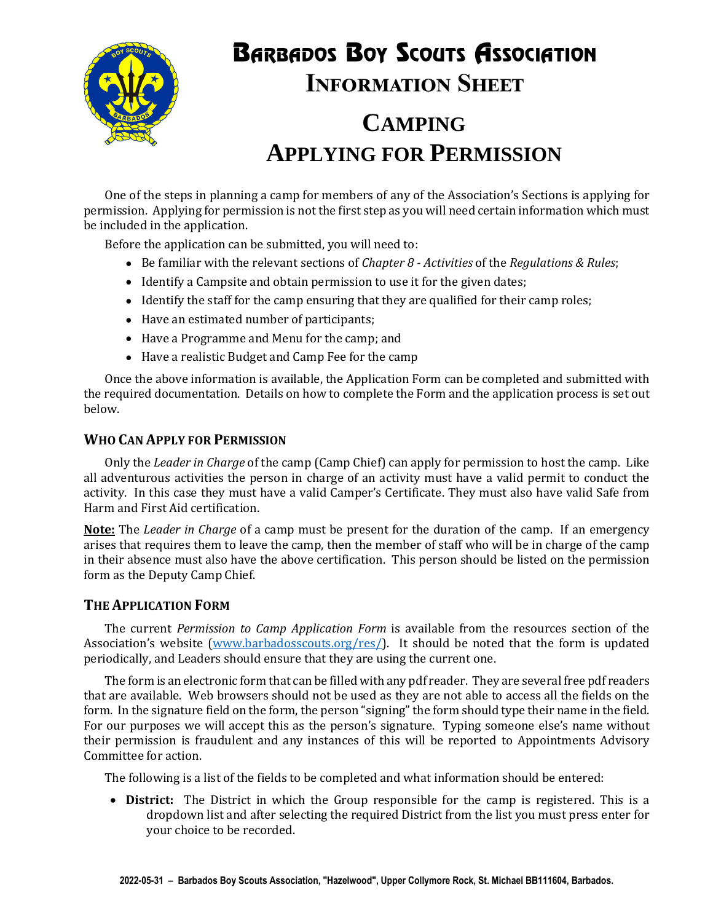

# **BARBADOS BOY SCOUTS ASSOCIATION INFORMATION SHEET**

## **CAMPING APPLYING FOR PERMISSION**

One of the steps in planning a camp for members of any of the Association's Sections is applying for permission. Applying for permission is not the first step as you will need certain information which must be included in the application.

Before the application can be submitted, you will need to:

- Be familiar with the relevant sections of *Chapter 8 Activities* of the *Regulations & Rules*;
- Identify a Campsite and obtain permission to use it for the given dates;
- Identify the staff for the camp ensuring that they are qualified for their camp roles;
- Have an estimated number of participants;
- Have a Programme and Menu for the camp; and
- Have a realistic Budget and Camp Fee for the camp

Once the above information is available, the Application Form can be completed and submitted with the required documentation. Details on how to complete the Form and the application process is set out below.

#### **WHO CAN APPLY FOR PERMISSION**

Only the *Leader in Charge* of the camp (Camp Chief) can apply for permission to host the camp. Like all adventurous activities the person in charge of an activity must have a valid permit to conduct the activity. In this case they must have a valid Camper's Certificate. They must also have valid Safe from Harm and First Aid certification.

**Note:** The *Leader in Charge* of a camp must be present for the duration of the camp. If an emergency arises that requires them to leave the camp, then the member of staff who will be in charge of the camp in their absence must also have the above certification. This person should be listed on the permission form as the Deputy Camp Chief.

#### **THE APPLICATION FORM**

The current *Permission to Camp Application Form* is available from the resources section of the Association's website (www.barbadosscouts.org/res/). It should be noted that the form is updated periodically, and Leaders should ensure that they are using the current one.

The form is an electronic form that can be filled with any pdf reader. They are several free pdf readers that are available. Web browsers should not be used as they are not able to access all the fields on the form. In the signature field on the form, the person "signing" the form should type their name in the field. For our purposes we will accept this as the person's signature. Typing someone else's name without their permission is fraudulent and any instances of this will be reported to Appointments Advisory Committee for action.

The following is a list of the fields to be completed and what information should be entered:

 **District:** The District in which the Group responsible for the camp is registered. This is a dropdown list and after selecting the required District from the list you must press enter for your choice to be recorded.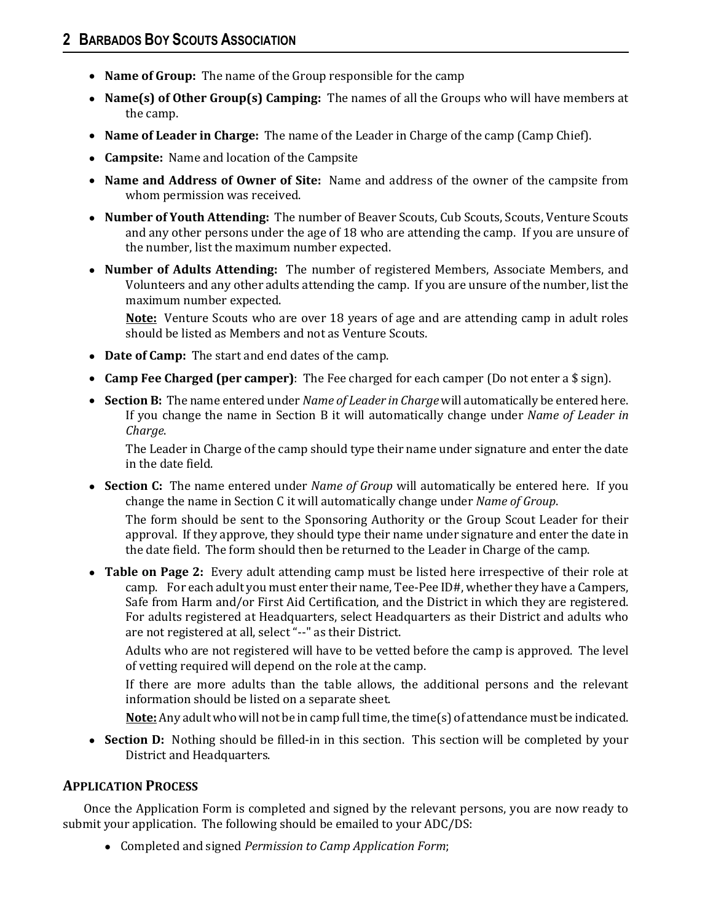- **Name of Group:** The name of the Group responsible for the camp
- **Name(s) of Other Group(s) Camping:** The names of all the Groups who will have members at the camp.
- **Name of Leader in Charge:** The name of the Leader in Charge of the camp (Camp Chief).
- **Campsite:** Name and location of the Campsite
- **Name and Address of Owner of Site:** Name and address of the owner of the campsite from whom permission was received.
- **Number of Youth Attending:** The number of Beaver Scouts, Cub Scouts, Scouts, Venture Scouts and any other persons under the age of 18 who are attending the camp. If you are unsure of the number, list the maximum number expected.
- **Number of Adults Attending:** The number of registered Members, Associate Members, and Volunteers and any other adults attending the camp. If you are unsure of the number, list the maximum number expected.

**Note:** Venture Scouts who are over 18 years of age and are attending camp in adult roles should be listed as Members and not as Venture Scouts.

- **Date of Camp:** The start and end dates of the camp.
- **Camp Fee Charged (per camper)**: The Fee charged for each camper (Do not enter a \$ sign).
- **Section B:** The name entered under *Name of Leader in Charge* will automatically be entered here. If you change the name in Section B it will automatically change under *Name of Leader in Charge*.

The Leader in Charge of the camp should type their name under signature and enter the date in the date field.

 **Section C:** The name entered under *Name of Group* will automatically be entered here. If you change the name in Section C it will automatically change under *Name of Group*.

The form should be sent to the Sponsoring Authority or the Group Scout Leader for their approval. If they approve, they should type their name under signature and enter the date in the date field. The form should then be returned to the Leader in Charge of the camp.

 **Table on Page 2:** Every adult attending camp must be listed here irrespective of their role at camp. For each adult you must enter their name, Tee-Pee ID#, whether they have a Campers, Safe from Harm and/or First Aid Certification, and the District in which they are registered. For adults registered at Headquarters, select Headquarters as their District and adults who are not registered at all, select "--" as their District.

Adults who are not registered will have to be vetted before the camp is approved. The level of vetting required will depend on the role at the camp.

If there are more adults than the table allows, the additional persons and the relevant information should be listed on a separate sheet.

**Note:** Any adult who will not be in camp full time, the time(s) of attendance must be indicated.

• **Section D:** Nothing should be filled-in in this section. This section will be completed by your District and Headquarters.

#### **APPLICATION PROCESS**

Once the Application Form is completed and signed by the relevant persons, you are now ready to submit your application. The following should be emailed to your ADC/DS:

Completed and signed *Permission to Camp Application Form*;